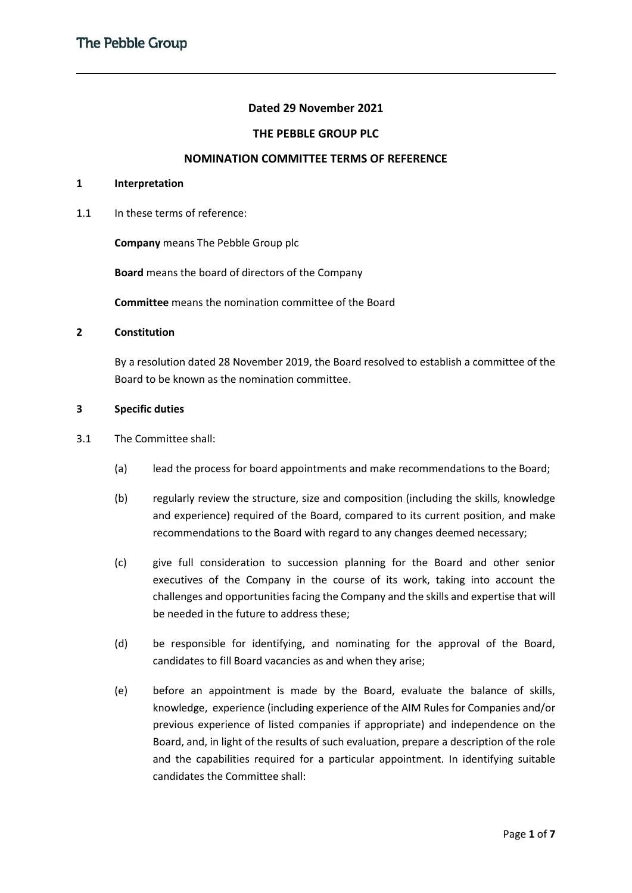### **Dated 29 November 2021**

### **THE PEBBLE GROUP PLC**

#### **NOMINATION COMMITTEE TERMS OF REFERENCE**

#### **1 Interpretation**

1.1 In these terms of reference:

**Company** means The Pebble Group plc

**Board** means the board of directors of the Company

**Committee** means the nomination committee of the Board

### **2 Constitution**

By a resolution dated 28 November 2019, the Board resolved to establish a committee of the Board to be known as the nomination committee.

#### **3 Specific duties**

- 3.1 The Committee shall:
	- (a) lead the process for board appointments and make recommendations to the Board;
	- (b) regularly review the structure, size and composition (including the skills, knowledge and experience) required of the Board, compared to its current position, and make recommendations to the Board with regard to any changes deemed necessary;
	- (c) give full consideration to succession planning for the Board and other senior executives of the Company in the course of its work, taking into account the challenges and opportunities facing the Company and the skills and expertise that will be needed in the future to address these;
	- (d) be responsible for identifying, and nominating for the approval of the Board, candidates to fill Board vacancies as and when they arise;
	- (e) before an appointment is made by the Board, evaluate the balance of skills, knowledge, experience (including experience of the AIM Rules for Companies and/or previous experience of listed companies if appropriate) and independence on the Board, and, in light of the results of such evaluation, prepare a description of the role and the capabilities required for a particular appointment. In identifying suitable candidates the Committee shall: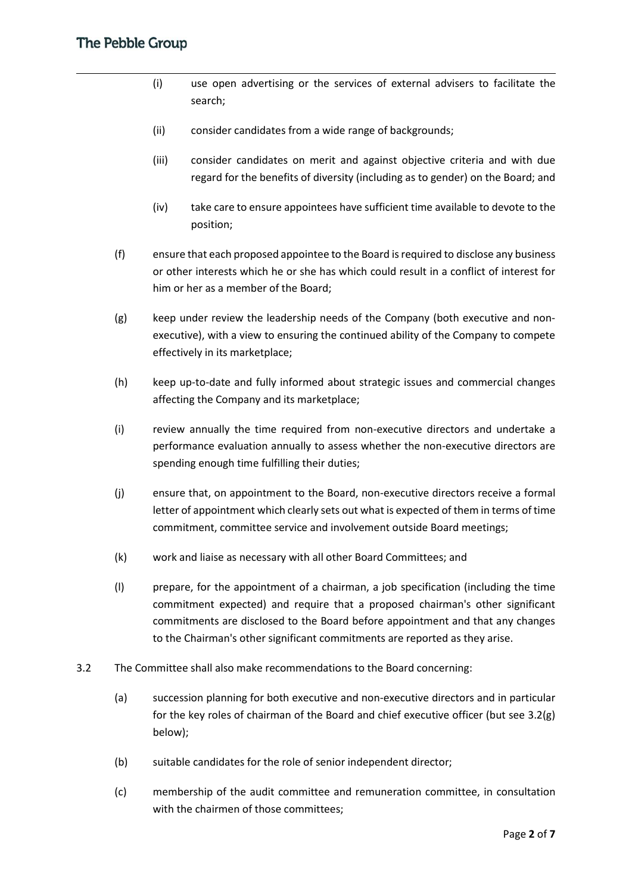- (i) use open advertising or the services of external advisers to facilitate the search;
- (ii) consider candidates from a wide range of backgrounds;
- (iii) consider candidates on merit and against objective criteria and with due regard for the benefits of diversity (including as to gender) on the Board; and
- (iv) take care to ensure appointees have sufficient time available to devote to the position;
- (f) ensure that each proposed appointee to the Board is required to disclose any business or other interests which he or she has which could result in a conflict of interest for him or her as a member of the Board;
- (g) keep under review the leadership needs of the Company (both executive and nonexecutive), with a view to ensuring the continued ability of the Company to compete effectively in its marketplace;
- (h) keep up-to-date and fully informed about strategic issues and commercial changes affecting the Company and its marketplace;
- (i) review annually the time required from non-executive directors and undertake a performance evaluation annually to assess whether the non-executive directors are spending enough time fulfilling their duties;
- (j) ensure that, on appointment to the Board, non-executive directors receive a formal letter of appointment which clearly sets out what is expected of them in terms of time commitment, committee service and involvement outside Board meetings;
- (k) work and liaise as necessary with all other Board Committees; and
- (l) prepare, for the appointment of a chairman, a job specification (including the time commitment expected) and require that a proposed chairman's other significant commitments are disclosed to the Board before appointment and that any changes to the Chairman's other significant commitments are reported as they arise.
- 3.2 The Committee shall also make recommendations to the Board concerning:
	- (a) succession planning for both executive and non-executive directors and in particular for the key roles of chairman of the Board and chief executive officer (but see 3.2(g) below);
	- (b) suitable candidates for the role of senior independent director;
	- (c) membership of the audit committee and remuneration committee, in consultation with the chairmen of those committees;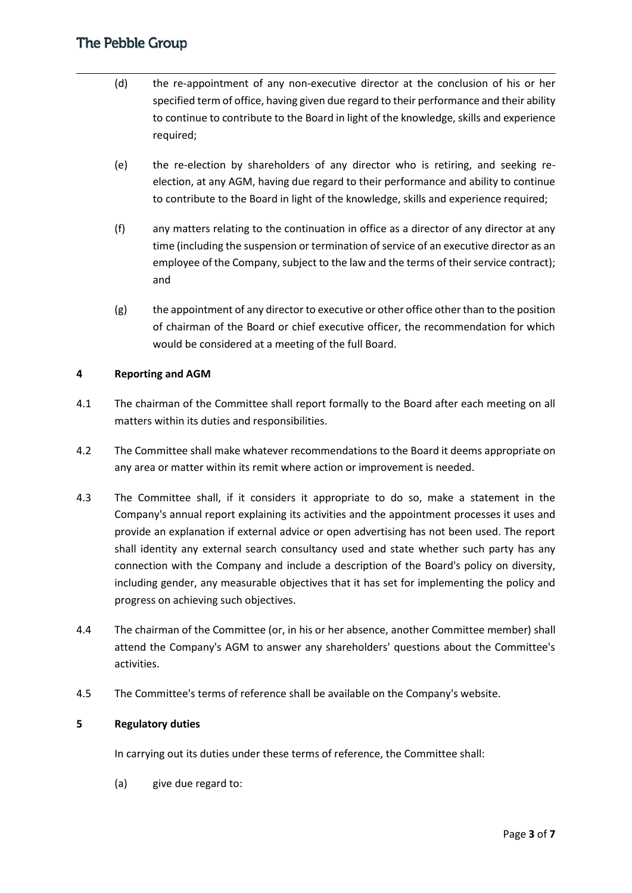- (d) the re-appointment of any non-executive director at the conclusion of his or her specified term of office, having given due regard to their performance and their ability to continue to contribute to the Board in light of the knowledge, skills and experience required;
- (e) the re-election by shareholders of any director who is retiring, and seeking reelection, at any AGM, having due regard to their performance and ability to continue to contribute to the Board in light of the knowledge, skills and experience required;
- (f) any matters relating to the continuation in office as a director of any director at any time (including the suspension or termination of service of an executive director as an employee of the Company, subject to the law and the terms of their service contract); and
- $(g)$  the appointment of any director to executive or other office other than to the position of chairman of the Board or chief executive officer, the recommendation for which would be considered at a meeting of the full Board.

### **4 Reporting and AGM**

- 4.1 The chairman of the Committee shall report formally to the Board after each meeting on all matters within its duties and responsibilities.
- 4.2 The Committee shall make whatever recommendations to the Board it deems appropriate on any area or matter within its remit where action or improvement is needed.
- 4.3 The Committee shall, if it considers it appropriate to do so, make a statement in the Company's annual report explaining its activities and the appointment processes it uses and provide an explanation if external advice or open advertising has not been used. The report shall identity any external search consultancy used and state whether such party has any connection with the Company and include a description of the Board's policy on diversity, including gender, any measurable objectives that it has set for implementing the policy and progress on achieving such objectives.
- 4.4 The chairman of the Committee (or, in his or her absence, another Committee member) shall attend the Company's AGM to answer any shareholders' questions about the Committee's activities.
- 4.5 The Committee's terms of reference shall be available on the Company's website.

#### **5 Regulatory duties**

In carrying out its duties under these terms of reference, the Committee shall:

(a) give due regard to: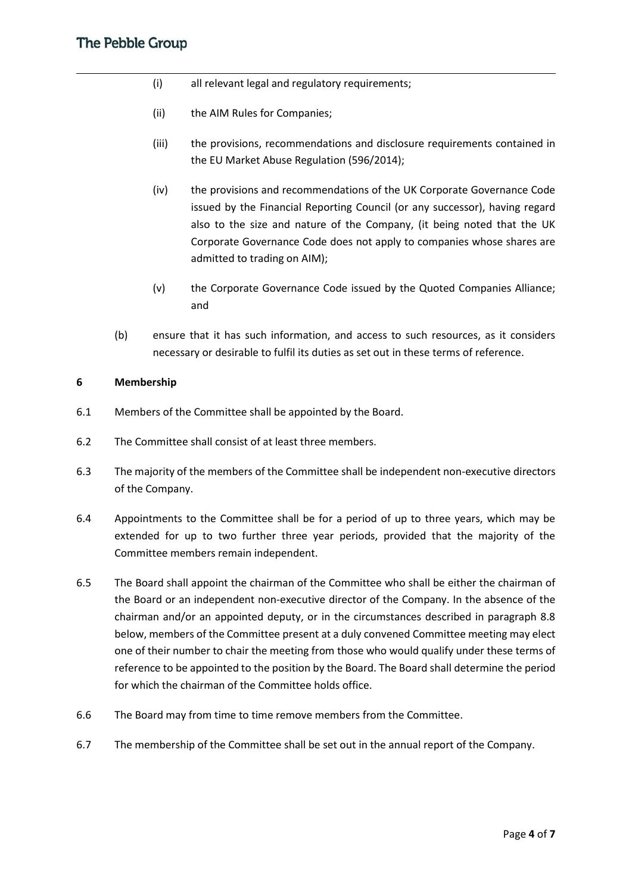- (i) all relevant legal and regulatory requirements;
- (ii) the AIM Rules for Companies;
- (iii) the provisions, recommendations and disclosure requirements contained in the EU Market Abuse Regulation (596/2014);
- (iv) the provisions and recommendations of the UK Corporate Governance Code issued by the Financial Reporting Council (or any successor), having regard also to the size and nature of the Company, (it being noted that the UK Corporate Governance Code does not apply to companies whose shares are admitted to trading on AIM);
- (v) the Corporate Governance Code issued by the Quoted Companies Alliance; and
- (b) ensure that it has such information, and access to such resources, as it considers necessary or desirable to fulfil its duties as set out in these terms of reference.

#### **6 Membership**

- 6.1 Members of the Committee shall be appointed by the Board.
- 6.2 The Committee shall consist of at least three members.
- 6.3 The majority of the members of the Committee shall be independent non-executive directors of the Company.
- 6.4 Appointments to the Committee shall be for a period of up to three years, which may be extended for up to two further three year periods, provided that the majority of the Committee members remain independent.
- 6.5 The Board shall appoint the chairman of the Committee who shall be either the chairman of the Board or an independent non-executive director of the Company. In the absence of the chairman and/or an appointed deputy, or in the circumstances described in paragraph 8.8 below, members of the Committee present at a duly convened Committee meeting may elect one of their number to chair the meeting from those who would qualify under these terms of reference to be appointed to the position by the Board. The Board shall determine the period for which the chairman of the Committee holds office.
- 6.6 The Board may from time to time remove members from the Committee.
- 6.7 The membership of the Committee shall be set out in the annual report of the Company.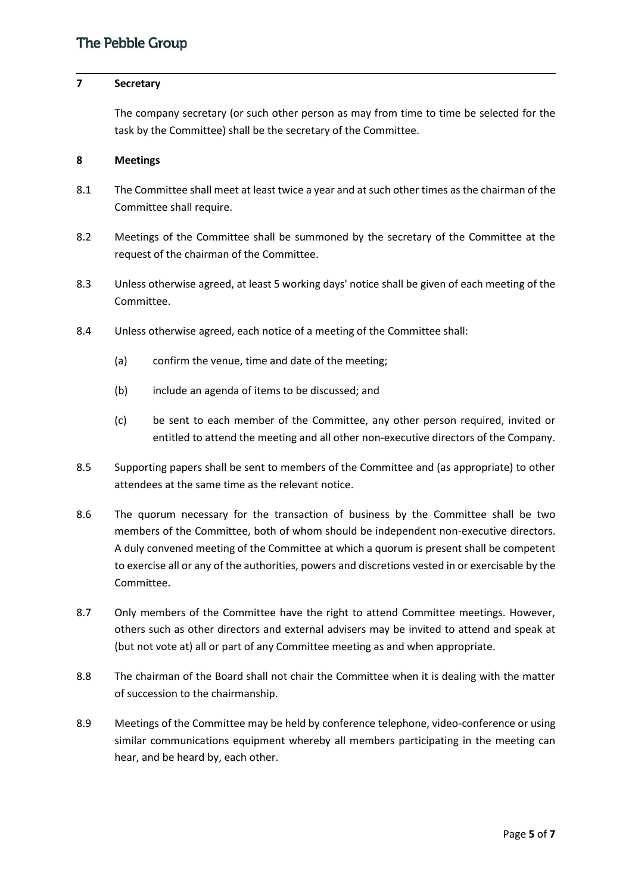### **7 Secretary**

The company secretary (or such other person as may from time to time be selected for the task by the Committee) shall be the secretary of the Committee.

#### **8 Meetings**

- 8.1 The Committee shall meet at least twice a year and at such other times as the chairman of the Committee shall require.
- 8.2 Meetings of the Committee shall be summoned by the secretary of the Committee at the request of the chairman of the Committee.
- 8.3 Unless otherwise agreed, at least 5 working days' notice shall be given of each meeting of the Committee.
- 8.4 Unless otherwise agreed, each notice of a meeting of the Committee shall:
	- (a) confirm the venue, time and date of the meeting;
	- (b) include an agenda of items to be discussed; and
	- (c) be sent to each member of the Committee, any other person required, invited or entitled to attend the meeting and all other non-executive directors of the Company.
- 8.5 Supporting papers shall be sent to members of the Committee and (as appropriate) to other attendees at the same time as the relevant notice.
- 8.6 The quorum necessary for the transaction of business by the Committee shall be two members of the Committee, both of whom should be independent non-executive directors. A duly convened meeting of the Committee at which a quorum is present shall be competent to exercise all or any of the authorities, powers and discretions vested in or exercisable by the Committee.
- 8.7 Only members of the Committee have the right to attend Committee meetings. However, others such as other directors and external advisers may be invited to attend and speak at (but not vote at) all or part of any Committee meeting as and when appropriate.
- 8.8 The chairman of the Board shall not chair the Committee when it is dealing with the matter of succession to the chairmanship.
- 8.9 Meetings of the Committee may be held by conference telephone, video-conference or using similar communications equipment whereby all members participating in the meeting can hear, and be heard by, each other.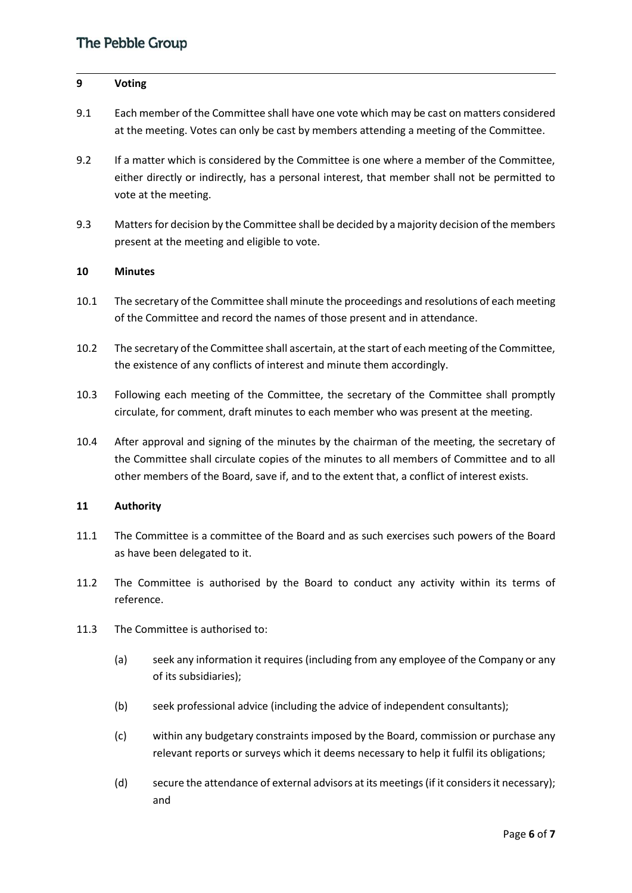#### **9 Voting**

- 9.1 Each member of the Committee shall have one vote which may be cast on matters considered at the meeting. Votes can only be cast by members attending a meeting of the Committee.
- 9.2 If a matter which is considered by the Committee is one where a member of the Committee, either directly or indirectly, has a personal interest, that member shall not be permitted to vote at the meeting.
- 9.3 Matters for decision by the Committee shall be decided by a majority decision of the members present at the meeting and eligible to vote.

#### **10 Minutes**

- 10.1 The secretary of the Committee shall minute the proceedings and resolutions of each meeting of the Committee and record the names of those present and in attendance.
- 10.2 The secretary of the Committee shall ascertain, at the start of each meeting of the Committee, the existence of any conflicts of interest and minute them accordingly.
- 10.3 Following each meeting of the Committee, the secretary of the Committee shall promptly circulate, for comment, draft minutes to each member who was present at the meeting.
- 10.4 After approval and signing of the minutes by the chairman of the meeting, the secretary of the Committee shall circulate copies of the minutes to all members of Committee and to all other members of the Board, save if, and to the extent that, a conflict of interest exists.

#### **11 Authority**

- 11.1 The Committee is a committee of the Board and as such exercises such powers of the Board as have been delegated to it.
- 11.2 The Committee is authorised by the Board to conduct any activity within its terms of reference.
- 11.3 The Committee is authorised to:
	- (a) seek any information it requires (including from any employee of the Company or any of its subsidiaries);
	- (b) seek professional advice (including the advice of independent consultants);
	- (c) within any budgetary constraints imposed by the Board, commission or purchase any relevant reports or surveys which it deems necessary to help it fulfil its obligations;
	- (d) secure the attendance of external advisors at its meetings (if it considers it necessary); and